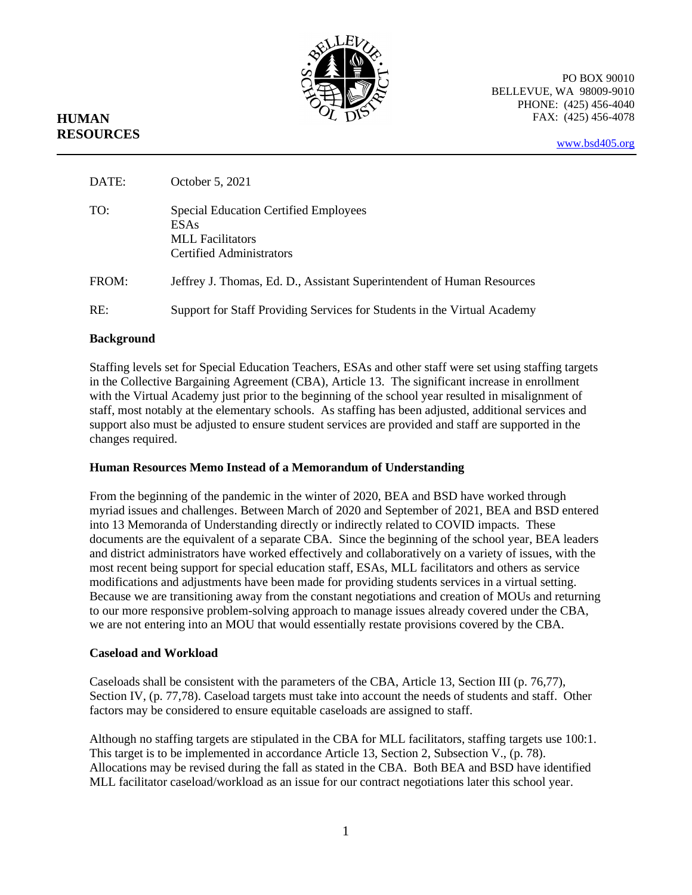

PO BOX 90010 BELLEVUE, WA 98009-9010 PHONE: (425) 456-4040 FAX: (425) 456-4078

# **HUMAN RESOURCES**

[www.bsd405.org](http://www.bsd405.org/)

| DATE: | October 5, 2021                                                                                             |
|-------|-------------------------------------------------------------------------------------------------------------|
| TO:   | <b>Special Education Certified Employees</b><br>ESAs<br><b>MLL</b> Facilitators<br>Certified Administrators |
| FROM: | Jeffrey J. Thomas, Ed. D., Assistant Superintendent of Human Resources                                      |
| RE:   | Support for Staff Providing Services for Students in the Virtual Academy                                    |

## **Background**

Staffing levels set for Special Education Teachers, ESAs and other staff were set using staffing targets in the Collective Bargaining Agreement (CBA), Article 13. The significant increase in enrollment with the Virtual Academy just prior to the beginning of the school year resulted in misalignment of staff, most notably at the elementary schools. As staffing has been adjusted, additional services and support also must be adjusted to ensure student services are provided and staff are supported in the changes required.

#### **Human Resources Memo Instead of a Memorandum of Understanding**

From the beginning of the pandemic in the winter of 2020, BEA and BSD have worked through myriad issues and challenges. Between March of 2020 and September of 2021, BEA and BSD entered into 13 Memoranda of Understanding directly or indirectly related to COVID impacts. These documents are the equivalent of a separate CBA. Since the beginning of the school year, BEA leaders and district administrators have worked effectively and collaboratively on a variety of issues, with the most recent being support for special education staff, ESAs, MLL facilitators and others as service modifications and adjustments have been made for providing students services in a virtual setting. Because we are transitioning away from the constant negotiations and creation of MOUs and returning to our more responsive problem-solving approach to manage issues already covered under the CBA, we are not entering into an MOU that would essentially restate provisions covered by the CBA.

# **Caseload and Workload**

Caseloads shall be consistent with the parameters of the CBA, Article 13, Section III (p. 76,77), Section IV, (p. 77,78). Caseload targets must take into account the needs of students and staff. Other factors may be considered to ensure equitable caseloads are assigned to staff.

Although no staffing targets are stipulated in the CBA for MLL facilitators, staffing targets use 100:1. This target is to be implemented in accordance Article 13, Section 2, Subsection V., (p. 78). Allocations may be revised during the fall as stated in the CBA. Both BEA and BSD have identified MLL facilitator caseload/workload as an issue for our contract negotiations later this school year.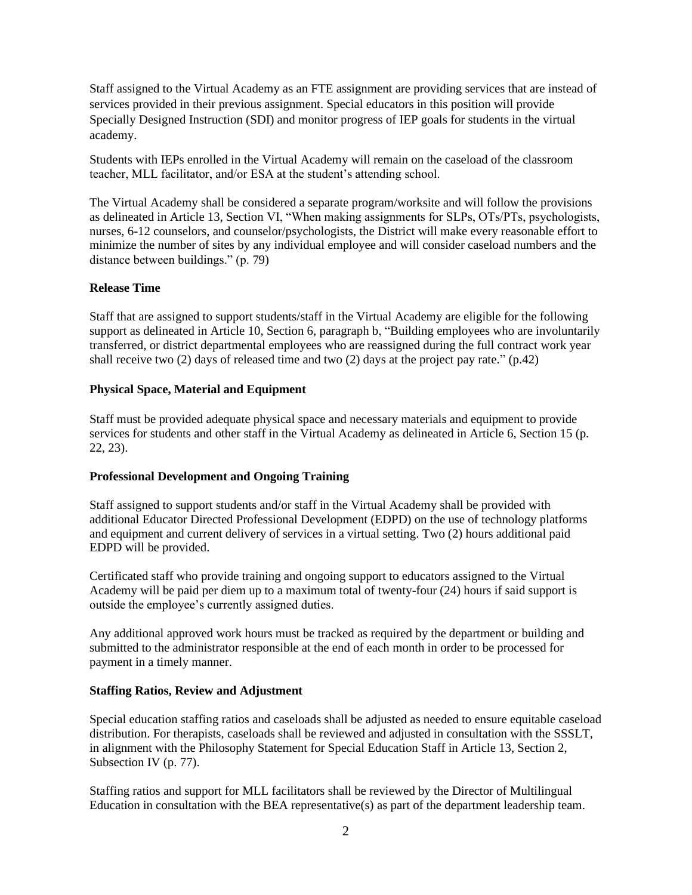Staff assigned to the Virtual Academy as an FTE assignment are providing services that are instead of services provided in their previous assignment. Special educators in this position will provide Specially Designed Instruction (SDI) and monitor progress of IEP goals for students in the virtual academy.

Students with IEPs enrolled in the Virtual Academy will remain on the caseload of the classroom teacher, MLL facilitator, and/or ESA at the student's attending school.

The Virtual Academy shall be considered a separate program/worksite and will follow the provisions as delineated in Article 13, Section VI, "When making assignments for SLPs, OTs/PTs, psychologists, nurses, 6-12 counselors, and counselor/psychologists, the District will make every reasonable effort to minimize the number of sites by any individual employee and will consider caseload numbers and the distance between buildings." (p. 79)

#### **Release Time**

Staff that are assigned to support students/staff in the Virtual Academy are eligible for the following support as delineated in Article 10, Section 6, paragraph b, "Building employees who are involuntarily transferred, or district departmental employees who are reassigned during the full contract work year shall receive two (2) days of released time and two (2) days at the project pay rate." (p.42)

#### **Physical Space, Material and Equipment**

Staff must be provided adequate physical space and necessary materials and equipment to provide services for students and other staff in the Virtual Academy as delineated in Article 6, Section 15 (p. 22, 23).

#### **Professional Development and Ongoing Training**

Staff assigned to support students and/or staff in the Virtual Academy shall be provided with additional Educator Directed Professional Development (EDPD) on the use of technology platforms and equipment and current delivery of services in a virtual setting. Two (2) hours additional paid EDPD will be provided.

Certificated staff who provide training and ongoing support to educators assigned to the Virtual Academy will be paid per diem up to a maximum total of twenty-four (24) hours if said support is outside the employee's currently assigned duties.

Any additional approved work hours must be tracked as required by the department or building and submitted to the administrator responsible at the end of each month in order to be processed for payment in a timely manner.

#### **Staffing Ratios, Review and Adjustment**

Special education staffing ratios and caseloads shall be adjusted as needed to ensure equitable caseload distribution. For therapists, caseloads shall be reviewed and adjusted in consultation with the SSSLT, in alignment with the Philosophy Statement for Special Education Staff in Article 13, Section 2, Subsection IV (p. 77).

Staffing ratios and support for MLL facilitators shall be reviewed by the Director of Multilingual Education in consultation with the BEA representative(s) as part of the department leadership team.